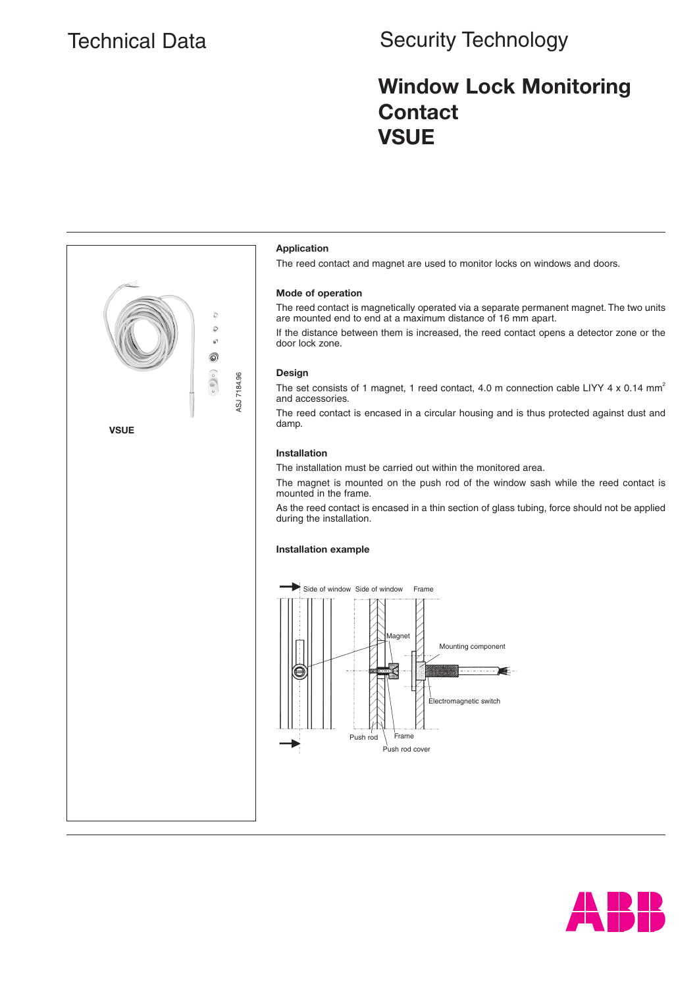# Technical Data Security Technology

## **Window Lock Monitoring Contact VSUE**



The reed contact and magnet are used to monitor locks on windows and doors.

#### **Mode of operation**

The reed contact is magnetically operated via a separate permanent magnet. The two units are mounted end to end at a maximum distance of 16 mm apart.

If the distance between them is increased, the reed contact opens a detector zone or the

The set consists of 1 magnet, 1 reed contact, 4.0 m connection cable LIYY 4 x 0.14 mm<sup>2</sup>

The reed contact is encased in a circular housing and is thus protected against dust and

The installation must be carried out within the monitored area.

The magnet is mounted on the push rod of the window sash while the reed contact is mounted in the frame.

As the reed contact is encased in a thin section of glass tubing, force should not be applied during the installation.